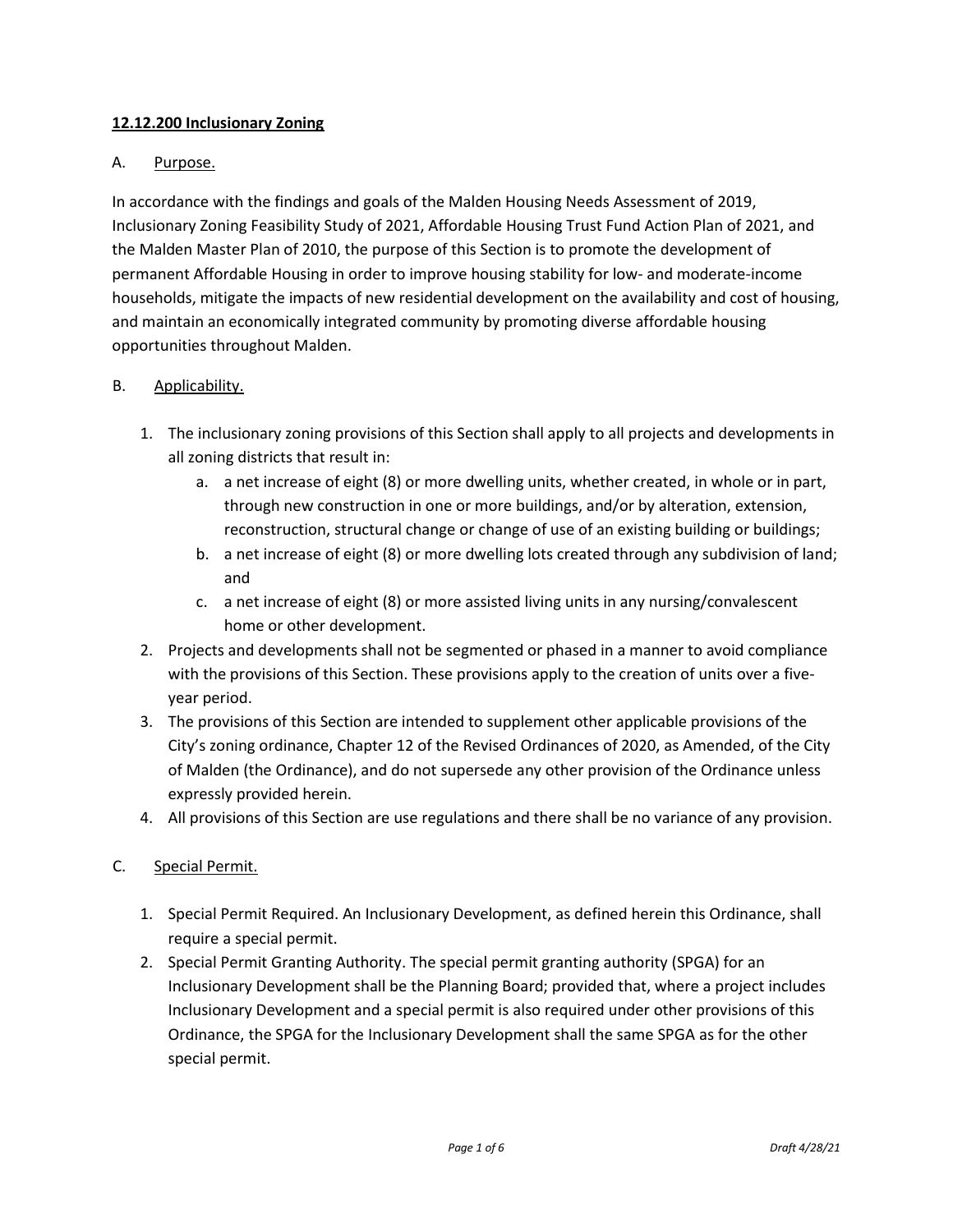# **12.12.200 Inclusionary Zoning**

## A. Purpose.

In accordance with the findings and goals of the Malden Housing Needs Assessment of 2019, Inclusionary Zoning Feasibility Study of 2021, Affordable Housing Trust Fund Action Plan of 2021, and the Malden Master Plan of 2010, the purpose of this Section is to promote the development of permanent Affordable Housing in order to improve housing stability for low- and moderate-income households, mitigate the impacts of new residential development on the availability and cost of housing, and maintain an economically integrated community by promoting diverse affordable housing opportunities throughout Malden.

### B. Applicability.

- 1. The inclusionary zoning provisions of this Section shall apply to all projects and developments in all zoning districts that result in:
	- a. a net increase of eight (8) or more dwelling units, whether created, in whole or in part, through new construction in one or more buildings, and/or by alteration, extension, reconstruction, structural change or change of use of an existing building or buildings;
	- b. a net increase of eight (8) or more dwelling lots created through any subdivision of land; and
	- c. a net increase of eight (8) or more assisted living units in any nursing/convalescent home or other development.
- 2. Projects and developments shall not be segmented or phased in a manner to avoid compliance with the provisions of this Section. These provisions apply to the creation of units over a fiveyear period.
- 3. The provisions of this Section are intended to supplement other applicable provisions of the City's zoning ordinance, Chapter 12 of the Revised Ordinances of 2020, as Amended, of the City of Malden (the Ordinance), and do not supersede any other provision of the Ordinance unless expressly provided herein.
- 4. All provisions of this Section are use regulations and there shall be no variance of any provision.

### C. Special Permit.

- 1. Special Permit Required. An Inclusionary Development, as defined herein this Ordinance, shall require a special permit.
- 2. Special Permit Granting Authority. The special permit granting authority (SPGA) for an Inclusionary Development shall be the Planning Board; provided that, where a project includes Inclusionary Development and a special permit is also required under other provisions of this Ordinance, the SPGA for the Inclusionary Development shall the same SPGA as for the other special permit.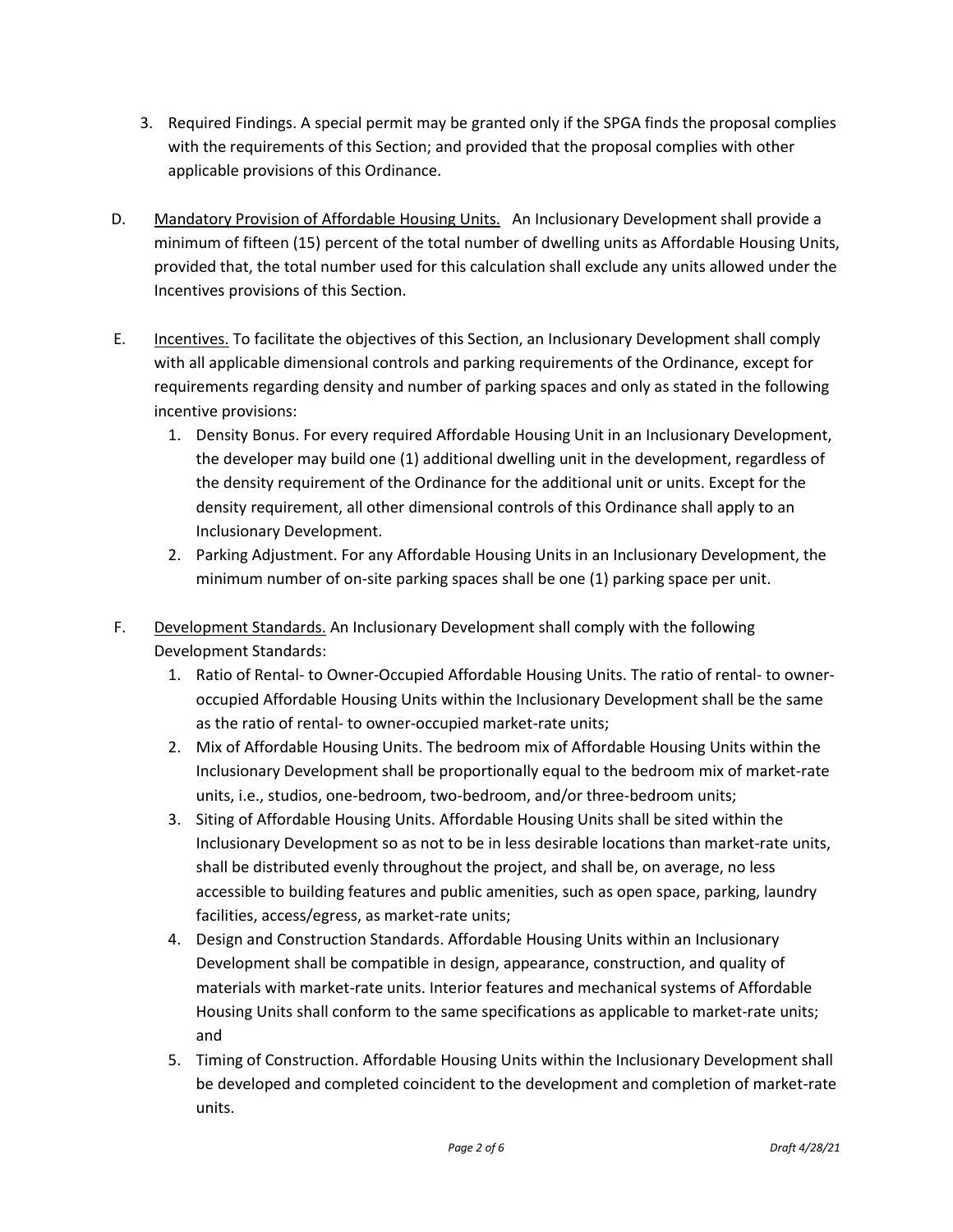- 3. Required Findings. A special permit may be granted only if the SPGA finds the proposal complies with the requirements of this Section; and provided that the proposal complies with other applicable provisions of this Ordinance.
- D. Mandatory Provision of Affordable Housing Units. An Inclusionary Development shall provide a minimum of fifteen (15) percent of the total number of dwelling units as Affordable Housing Units, provided that, the total number used for this calculation shall exclude any units allowed under the Incentives provisions of this Section.
- E. Incentives. To facilitate the objectives of this Section, an Inclusionary Development shall comply with all applicable dimensional controls and parking requirements of the Ordinance, except for requirements regarding density and number of parking spaces and only as stated in the following incentive provisions:
	- 1. Density Bonus. For every required Affordable Housing Unit in an Inclusionary Development, the developer may build one (1) additional dwelling unit in the development, regardless of the density requirement of the Ordinance for the additional unit or units. Except for the density requirement, all other dimensional controls of this Ordinance shall apply to an Inclusionary Development.
	- 2. Parking Adjustment. For any Affordable Housing Units in an Inclusionary Development, the minimum number of on-site parking spaces shall be one (1) parking space per unit.
- F. Development Standards. An Inclusionary Development shall comply with the following Development Standards:
	- 1. Ratio of Rental- to Owner-Occupied Affordable Housing Units. The ratio of rental- to owneroccupied Affordable Housing Units within the Inclusionary Development shall be the same as the ratio of rental- to owner-occupied market-rate units;
	- 2. Mix of Affordable Housing Units. The bedroom mix of Affordable Housing Units within the Inclusionary Development shall be proportionally equal to the bedroom mix of market-rate units, i.e., studios, one-bedroom, two-bedroom, and/or three-bedroom units;
	- 3. Siting of Affordable Housing Units. Affordable Housing Units shall be sited within the Inclusionary Development so as not to be in less desirable locations than market-rate units, shall be distributed evenly throughout the project, and shall be, on average, no less accessible to building features and public amenities, such as open space, parking, laundry facilities, access/egress, as market-rate units;
	- 4. Design and Construction Standards. Affordable Housing Units within an Inclusionary Development shall be compatible in design, appearance, construction, and quality of materials with market-rate units. Interior features and mechanical systems of Affordable Housing Units shall conform to the same specifications as applicable to market-rate units; and
	- 5. Timing of Construction. Affordable Housing Units within the Inclusionary Development shall be developed and completed coincident to the development and completion of market-rate units.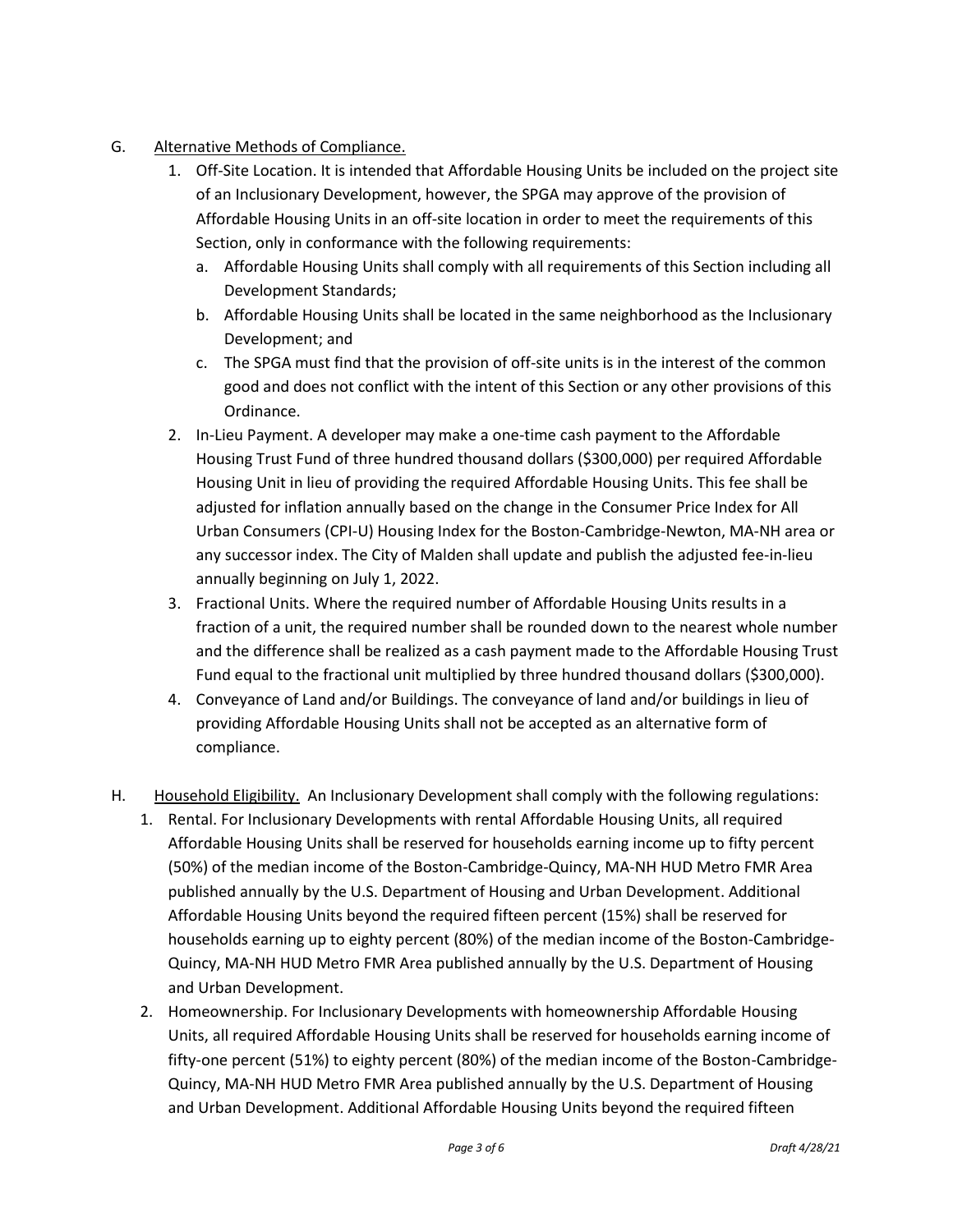- G. Alternative Methods of Compliance.
	- 1. Off-Site Location. It is intended that Affordable Housing Units be included on the project site of an Inclusionary Development, however, the SPGA may approve of the provision of Affordable Housing Units in an off-site location in order to meet the requirements of this Section, only in conformance with the following requirements:
		- a. Affordable Housing Units shall comply with all requirements of this Section including all Development Standards;
		- b. Affordable Housing Units shall be located in the same neighborhood as the Inclusionary Development; and
		- c. The SPGA must find that the provision of off-site units is in the interest of the common good and does not conflict with the intent of this Section or any other provisions of this Ordinance.
	- 2. In-Lieu Payment. A developer may make a one-time cash payment to the Affordable Housing Trust Fund of three hundred thousand dollars (\$300,000) per required Affordable Housing Unit in lieu of providing the required Affordable Housing Units. This fee shall be adjusted for inflation annually based on the change in the Consumer Price Index for All Urban Consumers (CPI-U) Housing Index for the Boston-Cambridge-Newton, MA-NH area or any successor index. The City of Malden shall update and publish the adjusted fee-in-lieu annually beginning on July 1, 2022.
	- 3. Fractional Units. Where the required number of Affordable Housing Units results in a fraction of a unit, the required number shall be rounded down to the nearest whole number and the difference shall be realized as a cash payment made to the Affordable Housing Trust Fund equal to the fractional unit multiplied by three hundred thousand dollars (\$300,000).
	- 4. Conveyance of Land and/or Buildings. The conveyance of land and/or buildings in lieu of providing Affordable Housing Units shall not be accepted as an alternative form of compliance.
- H. Household Eligibility. An Inclusionary Development shall comply with the following regulations:
	- 1. Rental. For Inclusionary Developments with rental Affordable Housing Units, all required Affordable Housing Units shall be reserved for households earning income up to fifty percent (50%) of the median income of the Boston-Cambridge-Quincy, MA-NH HUD Metro FMR Area published annually by the U.S. Department of Housing and Urban Development. Additional Affordable Housing Units beyond the required fifteen percent (15%) shall be reserved for households earning up to eighty percent (80%) of the median income of the Boston-Cambridge-Quincy, MA-NH HUD Metro FMR Area published annually by the U.S. Department of Housing and Urban Development.
	- 2. Homeownership. For Inclusionary Developments with homeownership Affordable Housing Units, all required Affordable Housing Units shall be reserved for households earning income of fifty-one percent (51%) to eighty percent (80%) of the median income of the Boston-Cambridge-Quincy, MA-NH HUD Metro FMR Area published annually by the U.S. Department of Housing and Urban Development. Additional Affordable Housing Units beyond the required fifteen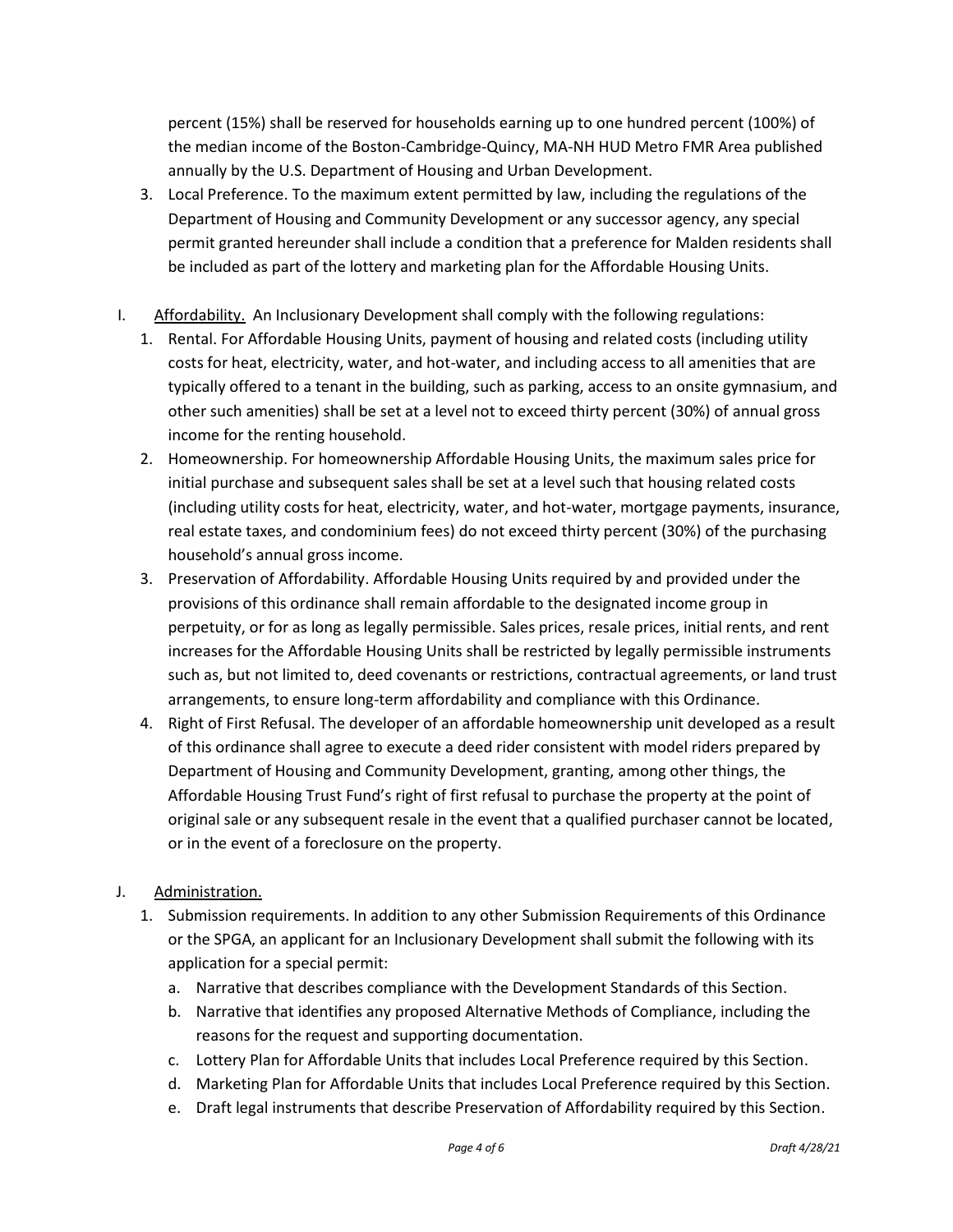percent (15%) shall be reserved for households earning up to one hundred percent (100%) of the median income of the Boston-Cambridge-Quincy, MA-NH HUD Metro FMR Area published annually by the U.S. Department of Housing and Urban Development.

- 3. Local Preference. To the maximum extent permitted by law, including the regulations of the Department of Housing and Community Development or any successor agency, any special permit granted hereunder shall include a condition that a preference for Malden residents shall be included as part of the lottery and marketing plan for the Affordable Housing Units.
- I. Affordability. An Inclusionary Development shall comply with the following regulations:
	- 1. Rental. For Affordable Housing Units, payment of housing and related costs (including utility costs for heat, electricity, water, and hot-water, and including access to all amenities that are typically offered to a tenant in the building, such as parking, access to an onsite gymnasium, and other such amenities) shall be set at a level not to exceed thirty percent (30%) of annual gross income for the renting household.
	- 2. Homeownership. For homeownership Affordable Housing Units, the maximum sales price for initial purchase and subsequent sales shall be set at a level such that housing related costs (including utility costs for heat, electricity, water, and hot-water, mortgage payments, insurance, real estate taxes, and condominium fees) do not exceed thirty percent (30%) of the purchasing household's annual gross income.
	- 3. Preservation of Affordability. Affordable Housing Units required by and provided under the provisions of this ordinance shall remain affordable to the designated income group in perpetuity, or for as long as legally permissible. Sales prices, resale prices, initial rents, and rent increases for the Affordable Housing Units shall be restricted by legally permissible instruments such as, but not limited to, deed covenants or restrictions, contractual agreements, or land trust arrangements, to ensure long-term affordability and compliance with this Ordinance.
	- 4. Right of First Refusal. The developer of an affordable homeownership unit developed as a result of this ordinance shall agree to execute a deed rider consistent with model riders prepared by Department of Housing and Community Development, granting, among other things, the Affordable Housing Trust Fund's right of first refusal to purchase the property at the point of original sale or any subsequent resale in the event that a qualified purchaser cannot be located, or in the event of a foreclosure on the property.
- J. Administration.
	- 1. Submission requirements. In addition to any other Submission Requirements of this Ordinance or the SPGA, an applicant for an Inclusionary Development shall submit the following with its application for a special permit:
		- a. Narrative that describes compliance with the Development Standards of this Section.
		- b. Narrative that identifies any proposed Alternative Methods of Compliance, including the reasons for the request and supporting documentation.
		- c. Lottery Plan for Affordable Units that includes Local Preference required by this Section.
		- d. Marketing Plan for Affordable Units that includes Local Preference required by this Section.
		- e. Draft legal instruments that describe Preservation of Affordability required by this Section.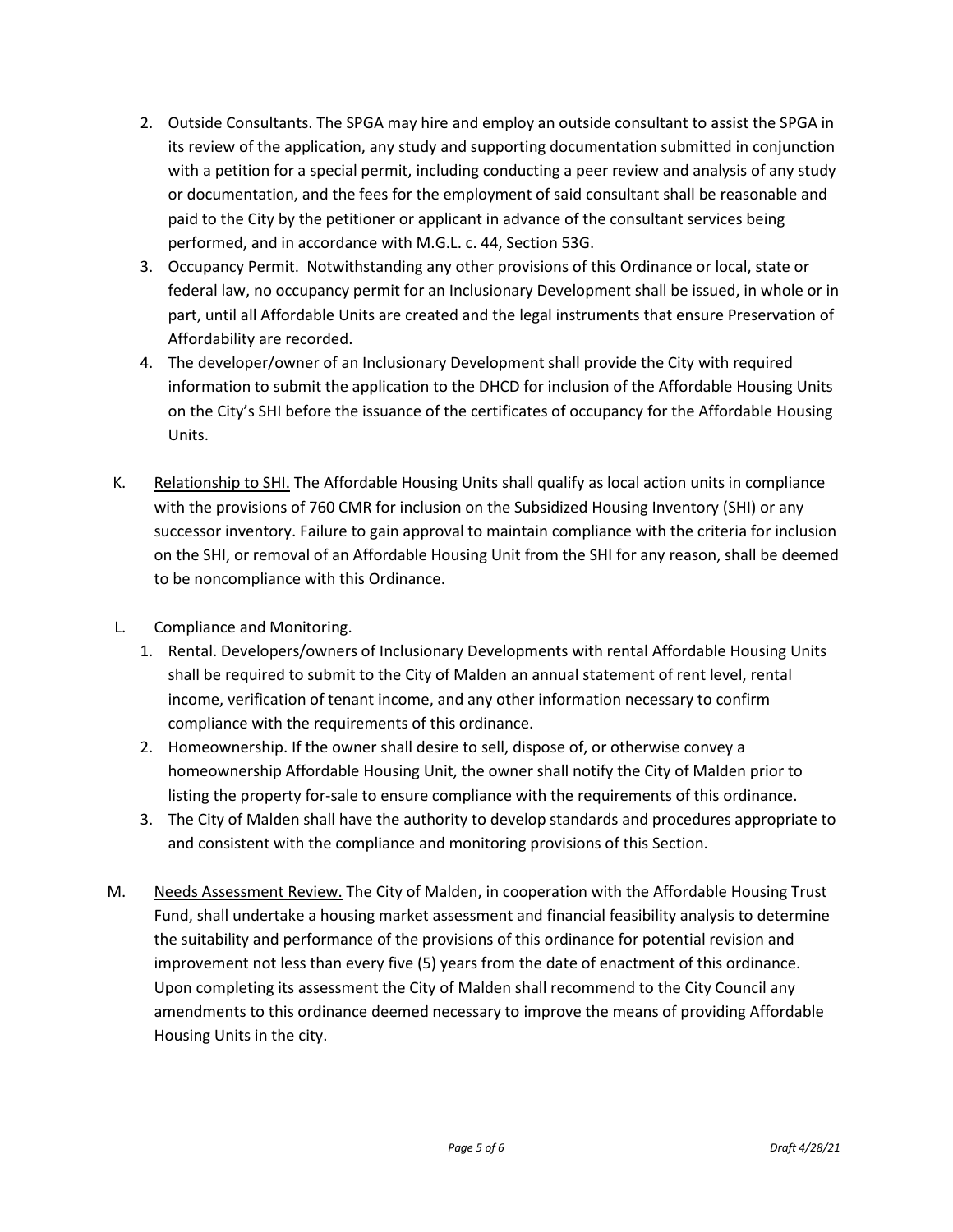- 2. Outside Consultants. The SPGA may hire and employ an outside consultant to assist the SPGA in its review of the application, any study and supporting documentation submitted in conjunction with a petition for a special permit, including conducting a peer review and analysis of any study or documentation, and the fees for the employment of said consultant shall be reasonable and paid to the City by the petitioner or applicant in advance of the consultant services being performed, and in accordance with M.G.L. c. 44, Section 53G.
- 3. Occupancy Permit. Notwithstanding any other provisions of this Ordinance or local, state or federal law, no occupancy permit for an Inclusionary Development shall be issued, in whole or in part, until all Affordable Units are created and the legal instruments that ensure Preservation of Affordability are recorded.
- 4. The developer/owner of an Inclusionary Development shall provide the City with required information to submit the application to the DHCD for inclusion of the Affordable Housing Units on the City's SHI before the issuance of the certificates of occupancy for the Affordable Housing Units.
- K. Relationship to SHI. The Affordable Housing Units shall qualify as local action units in compliance with the provisions of 760 CMR for inclusion on the Subsidized Housing Inventory (SHI) or any successor inventory. Failure to gain approval to maintain compliance with the criteria for inclusion on the SHI, or removal of an Affordable Housing Unit from the SHI for any reason, shall be deemed to be noncompliance with this Ordinance.
- L. Compliance and Monitoring.
	- 1. Rental. Developers/owners of Inclusionary Developments with rental Affordable Housing Units shall be required to submit to the City of Malden an annual statement of rent level, rental income, verification of tenant income, and any other information necessary to confirm compliance with the requirements of this ordinance.
	- 2. Homeownership. If the owner shall desire to sell, dispose of, or otherwise convey a homeownership Affordable Housing Unit, the owner shall notify the City of Malden prior to listing the property for-sale to ensure compliance with the requirements of this ordinance.
	- 3. The City of Malden shall have the authority to develop standards and procedures appropriate to and consistent with the compliance and monitoring provisions of this Section.
- M. Needs Assessment Review. The City of Malden, in cooperation with the Affordable Housing Trust Fund, shall undertake a housing market assessment and financial feasibility analysis to determine the suitability and performance of the provisions of this ordinance for potential revision and improvement not less than every five (5) years from the date of enactment of this ordinance. Upon completing its assessment the City of Malden shall recommend to the City Council any amendments to this ordinance deemed necessary to improve the means of providing Affordable Housing Units in the city.